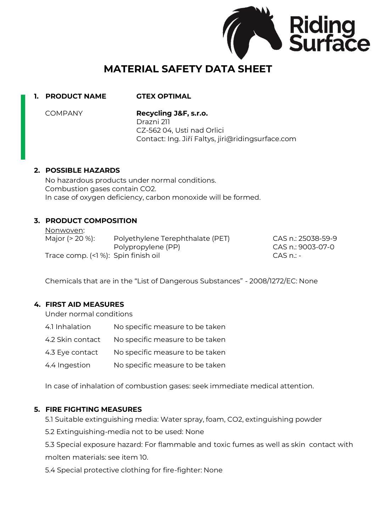

# **MATERIAL SAFETY DATA SHEET**

# **1. PRODUCT NAME GTEX OPTIMAL**

COMPANY **Recycling J&F, s.r.o.** Drazni 211

> CZ-562 04, Usti nad Orlici Contact: Ing. Jiří Faltys, jiri@ridingsurface.com

### **2. POSSIBLE HAZARDS**

No hazardous products under normal conditions. Combustion gases contain CO2. In case of oxygen deficiency, carbon monoxide will be formed.

# **3. PRODUCT COMPOSITION**

Nonwoven:

| Major $(> 20 \%)$ :                | Polyethylene Terephthalate (PET) | CAS n.: 25038-59-9 |
|------------------------------------|----------------------------------|--------------------|
|                                    | Polypropylene (PP)               | CAS n.: 9003-07-0  |
| Trace comp. (<1%): Spin finish oil |                                  | $CAS$ n. $-$       |

Chemicals that are in the "List of Dangerous Substances" - 2008/1272/EC: None

# **4. FIRST AID MEASURES**

Under normal conditions

- 4.1 Inhalation No specific measure to be taken
- 4.2 Skin contact No specific measure to be taken
- 4.3 Eye contact No specific measure to be taken
- 4.4 Ingestion No specific measure to be taken

In case of inhalation of combustion gases: seek immediate medical attention.

# **5. FIRE FIGHTING MEASURES**

5.1 Suitable extinguishing media: Water spray, foam, CO2, extinguishing powder

5.2 Extinguishing-media not to be used: None

5.3 Special exposure hazard: For flammable and toxic fumes as well as skin contact with molten materials: see item 10.

5.4 Special protective clothing for fire-fighter: None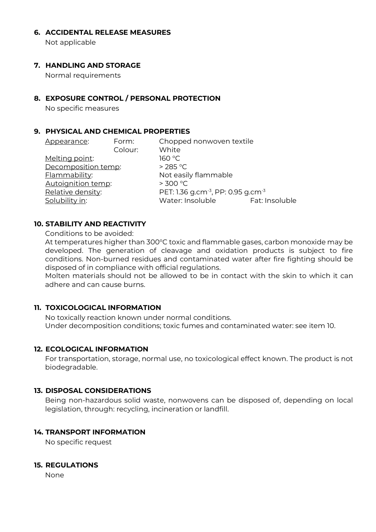#### **6. ACCIDENTAL RELEASE MEASURES**

Not applicable

## **7. HANDLING AND STORAGE**

Normal requirements

## **8. EXPOSURE CONTROL / PERSONAL PROTECTION**

No specific measures

## **9. PHYSICAL AND CHEMICAL PROPERTIES**

| Chopped nonwoven textile<br>White                          |  |
|------------------------------------------------------------|--|
| 160 °C                                                     |  |
| $>285$ °C                                                  |  |
| Not easily flammable                                       |  |
| > 300 °C                                                   |  |
| PET: 1.36 g.cm <sup>-3</sup> , PP: 0.95 g.cm <sup>-3</sup> |  |
| Water: Insoluble<br>Fat: Insoluble                         |  |
|                                                            |  |

### **10. STABILITY AND REACTIVITY**

Conditions to be avoided:

At temperatures higher than 300°C toxic and flammable gases, carbon monoxide may be developed. The generation of cleavage and oxidation products is subject to fire conditions. Non-burned residues and contaminated water after fire fighting should be disposed of in compliance with official regulations.

Molten materials should not be allowed to be in contact with the skin to which it can adhere and can cause burns.

# **11. TOXICOLOGICAL INFORMATION**

No toxically reaction known under normal conditions. Under decomposition conditions; toxic fumes and contaminated water: see item 10.

#### **12. ECOLOGICAL INFORMATION**

For transportation, storage, normal use, no toxicological effect known. The product is not biodegradable.

### **13. DISPOSAL CONSIDERATIONS**

Being non-hazardous solid waste, nonwovens can be disposed of, depending on local legislation, through: recycling, incineration or landfill.

# **14. TRANSPORT INFORMATION**

No specific request

#### **15. REGULATIONS**

None